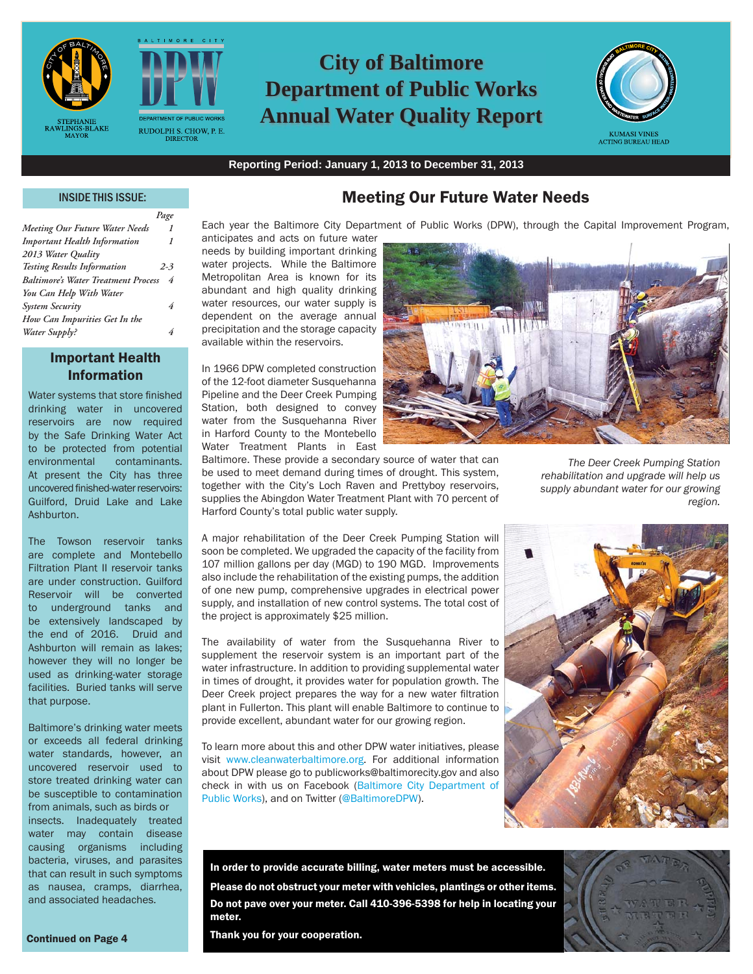



*Page*

# **City of Baltimore Department of Public Works Annual Water Quality Report**



**Reporting Period: January 1, 2013 to December 31, 2013**

#### INSIDE THIS ISSUE:

| <b>Meeting Our Future Water Needs</b>      | 1       |
|--------------------------------------------|---------|
| <b>Important Health Information</b>        | 1       |
| 2013 Water Quality                         |         |
| <b>Testing Results Information</b>         | $2 - 3$ |
| <b>Baltimore's Water Treatment Process</b> | 4       |
| You Can Help With Water                    |         |
| <b>System Security</b>                     | 4       |
| How Can Impurities Get In the              |         |
| Water Supply?                              | 4       |
|                                            |         |

### Important Health Information

Water systems that store finished drinking water in uncovered reservoirs are now required by the Safe Drinking Water Act to be protected from potential environmental contaminants. At present the City has three uncovered finished-water reservoirs: Guilford, Druid Lake and Lake **Ashhurton** 

The Towson reservoir tanks are complete and Montebello Filtration Plant II reservoir tanks are under construction. Guilford Reservoir will be converted to underground tanks and be extensively landscaped by the end of 2016. Druid and Ashburton will remain as lakes; however they will no longer be used as drinking-water storage facilities. Buried tanks will serve that purpose.

Baltimore's drinking water meets or exceeds all federal drinking water standards, however, an uncovered reservoir used to store treated drinking water can be susceptible to contamination from animals, such as birds or

insects. Inadequately treated water may contain disease causing organisms including bacteria, viruses, and parasites that can result in such symptoms as nausea, cramps, diarrhea, and associated headaches.

## Meeting Our Future Water Needs

Each year the Baltimore City Department of Public Works (DPW), through the Capital Improvement Program, anticipates and acts on future water

needs by building important drinking water projects. While the Baltimore Metropolitan Area is known for its abundant and high quality drinking water resources, our water supply is dependent on the average annual precipitation and the storage capacity available within the reservoirs.

In 1966 DPW completed construction of the 12-foot diameter Susquehanna Pipeline and the Deer Creek Pumping Station, both designed to convey water from the Susquehanna River in Harford County to the Montebello Water Treatment Plants in East

Baltimore. These provide a secondary source of water that can be used to meet demand during times of drought. This system, together with the City's Loch Raven and Prettyboy reservoirs, supplies the Abingdon Water Treatment Plant with 70 percent of Harford County's total public water supply.

A major rehabilitation of the Deer Creek Pumping Station will soon be completed. We upgraded the capacity of the facility from 107 million gallons per day (MGD) to 190 MGD. Improvements also include the rehabilitation of the existing pumps, the addition of one new pump, comprehensive upgrades in electrical power supply, and installation of new control systems. The total cost of the project is approximately \$25 million.

The availability of water from the Susquehanna River to supplement the reservoir system is an important part of the water infrastructure. In addition to providing supplemental water in times of drought, it provides water for population growth. The Deer Creek project prepares the way for a new water filtration plant in Fullerton. This plant will enable Baltimore to continue to provide excellent, abundant water for our growing region.

To learn more about this and other DPW water initiatives, please visit www.cleanwaterbaltimore.org. For additional information about DPW please go to publicworks@baltimorecity.gov and also check in with us on Facebook (Baltimore City Department of Public Works), and on Twitter (@BaltimoreDPW).



*The Deer Creek Pumping Station rehabilitation and upgrade will help us supply abundant water for our growing region.*



In order to provide accurate billing, water meters must be accessible. Please do not obstruct your meter with vehicles, plantings or other items. Do not pave over your meter. Call 410-396-5398 for help in locating your meter.

Thank you for your cooperation.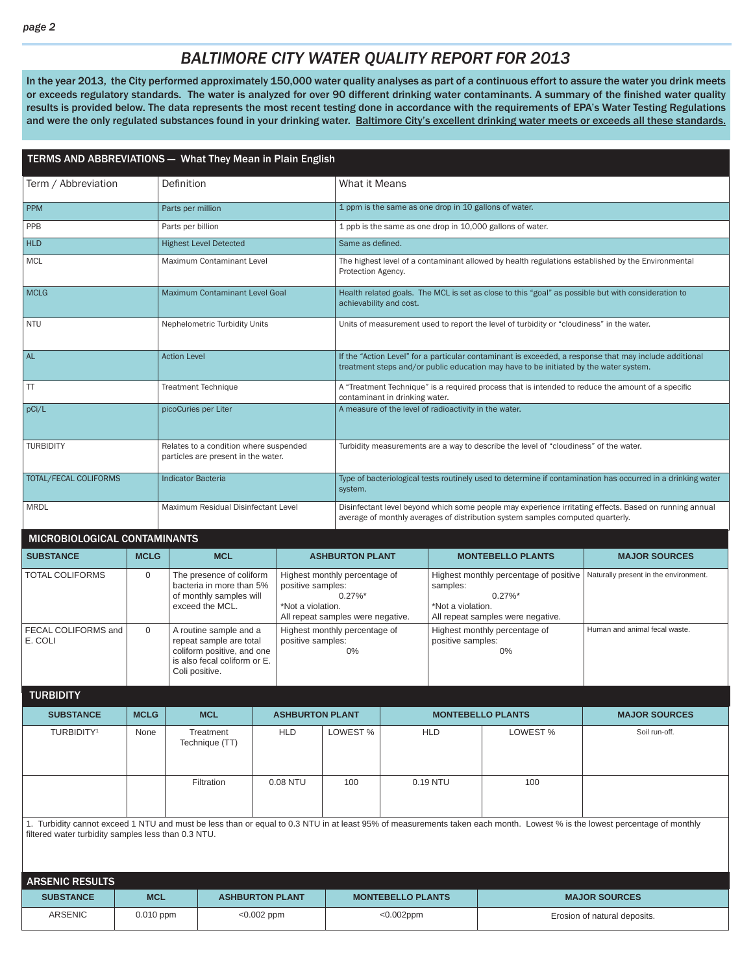In the year 2013, the City performed approximately 150,000 water quality analyses as part of a continuous effort to assure the water you drink meets or exceeds regulatory standards. The water is analyzed for over 90 different drinking water contaminants. A summary of the finished water quality results is provided below. The data represents the most recent testing done in accordance with the requirements of EPA's Water Testing Regulations and were the only regulated substances found in your drinking water. Baltimore City's excellent drinking water meets or exceeds all these standards.

| TERMS AND ABBREVIATIONS - What They Mean in Plain English |                         |                           |                                                                                                                                                        |            |                        |                                                                                                     |                                                                                                                                                                                          |                                                                                           |                                                                                          |                                                                                                                                                                           |  |  |
|-----------------------------------------------------------|-------------------------|---------------------------|--------------------------------------------------------------------------------------------------------------------------------------------------------|------------|------------------------|-----------------------------------------------------------------------------------------------------|------------------------------------------------------------------------------------------------------------------------------------------------------------------------------------------|-------------------------------------------------------------------------------------------|------------------------------------------------------------------------------------------|---------------------------------------------------------------------------------------------------------------------------------------------------------------------------|--|--|
| Term / Abbreviation                                       |                         | Definition                |                                                                                                                                                        |            |                        |                                                                                                     | What it Means                                                                                                                                                                            |                                                                                           |                                                                                          |                                                                                                                                                                           |  |  |
| <b>PPM</b>                                                |                         | Parts per million         |                                                                                                                                                        |            |                        |                                                                                                     |                                                                                                                                                                                          |                                                                                           | 1 ppm is the same as one drop in 10 gallons of water.                                    |                                                                                                                                                                           |  |  |
| <b>PPB</b>                                                |                         | Parts per billion         |                                                                                                                                                        |            |                        |                                                                                                     |                                                                                                                                                                                          |                                                                                           | 1 ppb is the same as one drop in 10,000 gallons of water.                                |                                                                                                                                                                           |  |  |
| <b>HLD</b>                                                |                         |                           | <b>Highest Level Detected</b>                                                                                                                          |            |                        | Same as defined.                                                                                    |                                                                                                                                                                                          |                                                                                           |                                                                                          |                                                                                                                                                                           |  |  |
| <b>MCL</b>                                                |                         |                           | Maximum Contaminant Level                                                                                                                              |            |                        | Protection Agency.                                                                                  |                                                                                                                                                                                          |                                                                                           |                                                                                          | The highest level of a contaminant allowed by health regulations established by the Environmental                                                                         |  |  |
| <b>MCLG</b>                                               |                         |                           | Maximum Contaminant Level Goal                                                                                                                         |            |                        |                                                                                                     | Health related goals. The MCL is set as close to this "goal" as possible but with consideration to<br>achievability and cost.                                                            |                                                                                           |                                                                                          |                                                                                                                                                                           |  |  |
| <b>NTU</b>                                                |                         |                           | Nephelometric Turbidity Units                                                                                                                          |            |                        |                                                                                                     |                                                                                                                                                                                          |                                                                                           | Units of measurement used to report the level of turbidity or "cloudiness" in the water. |                                                                                                                                                                           |  |  |
| <b>AL</b>                                                 |                         | <b>Action Level</b>       |                                                                                                                                                        |            |                        |                                                                                                     |                                                                                                                                                                                          |                                                                                           | treatment steps and/or public education may have to be initiated by the water system.    | If the "Action Level" for a particular contaminant is exceeded, a response that may include additional                                                                    |  |  |
| TT                                                        |                         |                           | <b>Treatment Technique</b>                                                                                                                             |            |                        |                                                                                                     | contaminant in drinking water.                                                                                                                                                           |                                                                                           |                                                                                          | A "Treatment Technique" is a required process that is intended to reduce the amount of a specific                                                                         |  |  |
| pCi/L                                                     |                         | picoCuries per Liter      |                                                                                                                                                        |            |                        |                                                                                                     | A measure of the level of radioactivity in the water.                                                                                                                                    |                                                                                           |                                                                                          |                                                                                                                                                                           |  |  |
| <b>TURBIDITY</b>                                          |                         |                           | Relates to a condition where suspended<br>particles are present in the water.                                                                          |            |                        |                                                                                                     |                                                                                                                                                                                          |                                                                                           | Turbidity measurements are a way to describe the level of "cloudiness" of the water.     |                                                                                                                                                                           |  |  |
| TOTAL/FECAL COLIFORMS                                     |                         | <b>Indicator Bacteria</b> |                                                                                                                                                        |            |                        | system.                                                                                             | Type of bacteriological tests routinely used to determine if contamination has occurred in a drinking water                                                                              |                                                                                           |                                                                                          |                                                                                                                                                                           |  |  |
| <b>MRDL</b>                                               |                         |                           | Maximum Residual Disinfectant Level                                                                                                                    |            |                        |                                                                                                     | Disinfectant level beyond which some people may experience irritating effects. Based on running annual<br>average of monthly averages of distribution system samples computed quarterly. |                                                                                           |                                                                                          |                                                                                                                                                                           |  |  |
| MICROBIOLOGICAL CONTAMINANTS                              |                         |                           |                                                                                                                                                        |            |                        |                                                                                                     |                                                                                                                                                                                          |                                                                                           |                                                                                          |                                                                                                                                                                           |  |  |
| <b>SUBSTANCE</b>                                          | <b>MCLG</b>             |                           | <b>MCL</b>                                                                                                                                             |            |                        | <b>ASHBURTON PLANT</b>                                                                              |                                                                                                                                                                                          |                                                                                           | <b>MONTEBELLO PLANTS</b>                                                                 | <b>MAJOR SOURCES</b>                                                                                                                                                      |  |  |
| <b>TOTAL COLIFORMS</b>                                    | $\mathbf 0$             |                           | The presence of coliform<br>bacteria in more than 5%<br>positive samples:<br>of monthly samples will<br>exceed the MCL.<br>*Not a violation.           |            | $0.27\%$ *             | Highest monthly percentage of<br>samples:<br>*Not a violation.<br>All repeat samples were negative. |                                                                                                                                                                                          | Highest monthly percentage of positive<br>$0.27\%$ *<br>All repeat samples were negative. | Naturally present in the environment.                                                    |                                                                                                                                                                           |  |  |
| FECAL COLIFORMS and<br>E. COLI                            | $\mathbf{0}$            |                           | A routine sample and a<br>repeat sample are total<br>positive samples:<br>coliform positive, and one<br>is also fecal coliform or E.<br>Coli positive. |            | 0%                     | Highest monthly percentage of<br>Highest monthly percentage of<br>positive samples:<br>0%           |                                                                                                                                                                                          | Human and animal fecal waste.                                                             |                                                                                          |                                                                                                                                                                           |  |  |
| <b>TURBIDITY</b>                                          |                         |                           |                                                                                                                                                        |            |                        |                                                                                                     |                                                                                                                                                                                          |                                                                                           |                                                                                          |                                                                                                                                                                           |  |  |
| <b>SUBSTANCE</b>                                          | <b>MCLG</b>             |                           | <b>MCL</b>                                                                                                                                             |            | <b>ASHBURTON PLANT</b> |                                                                                                     |                                                                                                                                                                                          |                                                                                           | <b>MONTEBELLO PLANTS</b>                                                                 | <b>MAJOR SOURCES</b>                                                                                                                                                      |  |  |
| TURBIDITY <sup>1</sup>                                    | None                    |                           | <b>HLD</b><br>Treatment<br>Technique (TT)                                                                                                              |            |                        | LOWEST %                                                                                            |                                                                                                                                                                                          | <b>HLD</b>                                                                                | LOWEST%                                                                                  | Soil run-off.                                                                                                                                                             |  |  |
|                                                           |                         | Filtration<br>0.08 NTU    |                                                                                                                                                        |            | 100                    | 0.19 NTU<br>100                                                                                     |                                                                                                                                                                                          |                                                                                           |                                                                                          |                                                                                                                                                                           |  |  |
| filtered water turbidity samples less than 0.3 NTU.       |                         |                           |                                                                                                                                                        |            |                        |                                                                                                     |                                                                                                                                                                                          |                                                                                           |                                                                                          | 1. Turbidity cannot exceed 1 NTU and must be less than or equal to 0.3 NTU in at least 95% of measurements taken each month. Lowest % is the lowest percentage of monthly |  |  |
| <b>ARSENIC RESULTS</b>                                    |                         |                           |                                                                                                                                                        |            |                        |                                                                                                     |                                                                                                                                                                                          |                                                                                           |                                                                                          |                                                                                                                                                                           |  |  |
| <b>SUBSTANCE</b><br>ARSENIC                               | <b>MCL</b><br>0.010 ppm |                           | <b>ASHBURTON PLANT</b>                                                                                                                                 | <0.002 ppm |                        |                                                                                                     | <b>MONTEBELLO PLANTS</b><br>$<0.002$ ppm                                                                                                                                                 |                                                                                           |                                                                                          | <b>MAJOR SOURCES</b><br>Erosion of natural deposits.                                                                                                                      |  |  |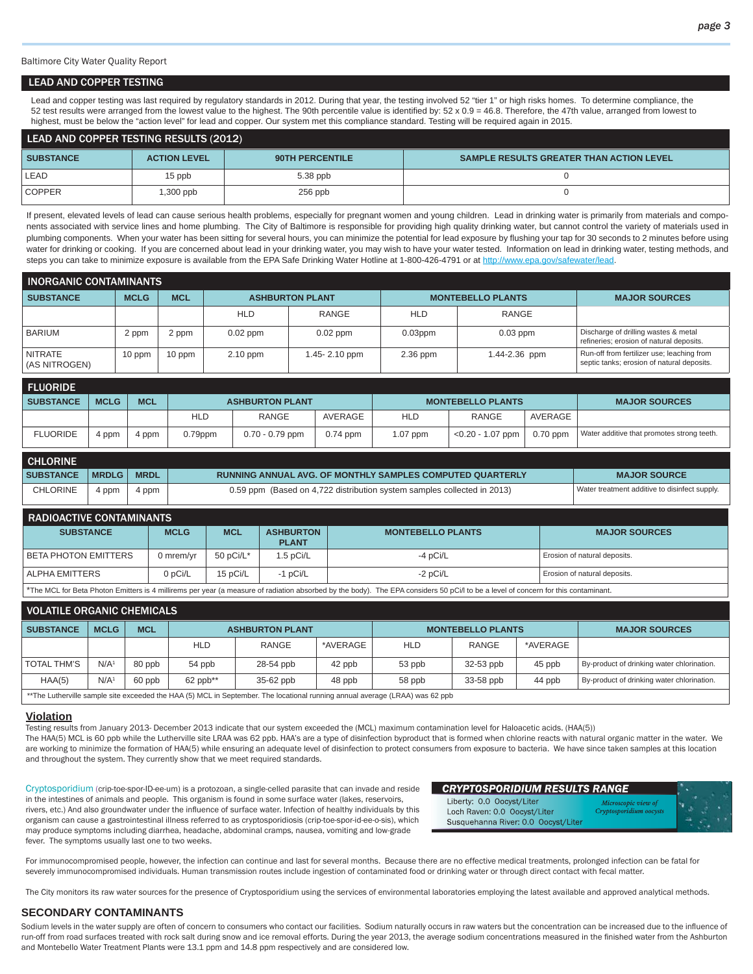Baltimore City Water Quality Report

#### LEAD AND COPPER TESTING

Lead and copper testing was last required by regulatory standards in 2012. During that year, the testing involved 52 "tier 1" or high risks homes. To determine compliance, the 52 test results were arranged from the lowest value to the highest. The 90th percentile value is identified by: 52 x 0.9 = 46.8. Therefore, the 47th value, arranged from lowest to highest, must be below the "action level" for lead and copper. Our system met this compliance standard. Testing will be required again in 2015.

| LEAD AND COPPER TESTING RESULTS (2012) |                     |                        |                                                 |  |  |  |  |  |
|----------------------------------------|---------------------|------------------------|-------------------------------------------------|--|--|--|--|--|
| <b>SUBSTANCE</b>                       | <b>ACTION LEVEL</b> | <b>90TH PERCENTILE</b> | <b>SAMPLE RESULTS GREATER THAN ACTION LEVEL</b> |  |  |  |  |  |
| LEAD                                   | 15 ppb              | $5.38$ ppb             |                                                 |  |  |  |  |  |
| <b>COPPER</b>                          | $.300$ ppb          | $256$ ppb              |                                                 |  |  |  |  |  |

If present, elevated levels of lead can cause serious health problems, especially for pregnant women and young children. Lead in drinking water is primarily from materials and components associated with service lines and home plumbing. The City of Baltimore is responsible for providing high quality drinking water, but cannot control the variety of materials used in plumbing components. When your water has been sitting for several hours, you can minimize the potential for lead exposure by flushing your tap for 30 seconds to 2 minutes before using water for drinking or cooking. If you are concerned about lead in your drinking water, you may wish to have your water tested. Information on lead in drinking water, testing methods, and steps you can take to minimize exposure is available from the EPA Safe Drinking Water Hotline at 1-800-426-4791 or at http://www.epa.gov/safewater/lead.

| <b>INORGANIC CONTAMINANTS</b>   |             |            |            |                        |            |                          |                                                                                          |  |
|---------------------------------|-------------|------------|------------|------------------------|------------|--------------------------|------------------------------------------------------------------------------------------|--|
| <b>SUBSTANCE</b>                | <b>MCLG</b> | <b>MCL</b> |            | <b>ASHBURTON PLANT</b> |            | <b>MONTEBELLO PLANTS</b> | <b>MAJOR SOURCES</b>                                                                     |  |
|                                 |             |            | <b>HLD</b> | RANGE                  | <b>HLD</b> | RANGE                    |                                                                                          |  |
| <b>BARIUM</b>                   | 2 ppm       | 2 ppm      | $0.02$ ppm | $0.02$ ppm             | $0.03$ ppm | $0.03$ ppm               | Discharge of drilling wastes & metal<br>refineries; erosion of natural deposits.         |  |
| <b>NITRATE</b><br>(AS NITROGEN) | 10 ppm      | 10 ppm     | $2.10$ ppm | 1.45-2.10 ppm          | 2.36 ppm   | 1.44-2.36 ppm            | Run-off from fertilizer use; leaching from<br>septic tanks; erosion of natural deposits. |  |

| <b>FLUORIDE</b>  |             |            |            |                        |            |            |                          |                      |                                            |
|------------------|-------------|------------|------------|------------------------|------------|------------|--------------------------|----------------------|--------------------------------------------|
| <b>SUBSTANCE</b> | <b>MCLG</b> | <b>MCL</b> |            | <b>ASHBURTON PLANT</b> |            |            | <b>MONTEBELLO PLANTS</b> | <b>MAJOR SOURCES</b> |                                            |
|                  |             |            | <b>HLD</b> | <b>RANGE</b>           | AVERAGE    | <b>HLD</b> | <b>RANGE</b>             | AVERAGE              |                                            |
| <b>FLUORIDE</b>  | 4 ppm       | 4 ppm      | $0.79$ ppm | $0.70 - 0.79$ ppm      | $0.74$ ppm | 1.07 ppm   | $<$ 0.20 - 1.07 ppm      | $0.70$ ppm           | Water additive that promotes strong teeth. |

| <b>CHLORINE</b>  |              |             |                                                                         |                                               |
|------------------|--------------|-------------|-------------------------------------------------------------------------|-----------------------------------------------|
| <b>SUBSTANCE</b> | <b>MRDLG</b> | <b>MRDL</b> | <b>RUNNING ANNUAL AVG. OF MONTHLY SAMPLES COMPUTED QUARTERLY</b>        | <b>MAJOR SOURCE</b>                           |
| <b>CHLORINE</b>  | 4 ppm        | 4 ppm       | 0.59 ppm (Based on 4,722 distribution system samples collected in 2013) | Water treatment additive to disinfect supply. |

| <b>RADIOACTIVE CONTAMINANTS</b>                                                                                                                                                   |             |              |                                  |                          |                              |  |  |  |  |
|-----------------------------------------------------------------------------------------------------------------------------------------------------------------------------------|-------------|--------------|----------------------------------|--------------------------|------------------------------|--|--|--|--|
| <b>SUBSTANCE</b>                                                                                                                                                                  | <b>MCLG</b> | <b>MCL</b>   | <b>ASHBURTON</b><br><b>PLANT</b> | <b>MONTEBELLO PLANTS</b> | <b>MAJOR SOURCES</b>         |  |  |  |  |
| I BETA PHOTON EMITTERS                                                                                                                                                            | ) mrem/vr   | 50 $pCi/L^*$ | 1.5 pCi/L                        | $-4$ pCi/L               | Erosion of natural deposits. |  |  |  |  |
| 15 pCi/L<br>  ALPHA EMITTERS<br>0 pCi/L<br>$-1$ pCi/L<br>Erosion of natural deposits.<br>$-2$ pCi/L                                                                               |             |              |                                  |                          |                              |  |  |  |  |
| The MCL for Beta Photon Emitters is 4 millirems per year (a measure of radiation absorbed by the body). The EPA considers 50 pCi/l to be a level of concern for this contaminant. |             |              |                                  |                          |                              |  |  |  |  |

| <b>VOLATILE ORGANIC CHEMICALS</b>                                                                                            |                  |            |            |                        |          |            |                          |                      |                                            |
|------------------------------------------------------------------------------------------------------------------------------|------------------|------------|------------|------------------------|----------|------------|--------------------------|----------------------|--------------------------------------------|
| <b>SUBSTANCE</b>                                                                                                             | <b>MCLG</b>      | <b>MCL</b> |            | <b>ASHBURTON PLANT</b> |          |            | <b>MONTEBELLO PLANTS</b> | <b>MAJOR SOURCES</b> |                                            |
|                                                                                                                              |                  |            | <b>HLD</b> | RANGE                  | *AVERAGE | <b>HLD</b> | RANGE                    | *AVERAGE             |                                            |
| <b>TOTAL THM'S</b>                                                                                                           | N/A <sup>1</sup> | 80 ppb     | 54 ppb     | 28-54 ppb              | 42 ppb   | 53 ppb     | 32-53 ppb                | 45 ppb               | By-product of drinking water chlorination. |
| HAA(5)                                                                                                                       | N/A <sup>1</sup> | 60 ppb     | $62$ ppb** | 35-62 ppb              | 48 ppb   | 58 ppb     | 33-58 ppb                | 44 ppb               | By-product of drinking water chlorination. |
| **The Lutherville sample site exceeded the HAA (5) MCL in September. The locational running annual average (LRAA) was 62 ppb |                  |            |            |                        |          |            |                          |                      |                                            |

#### **Violation**

Testing results from January 2013- December 2013 indicate that our system exceeded the (MCL) maximum contamination level for Haloacetic acids. (HAA(5)) The HAA(5) MCL is 60 ppb while the Lutherville site LRAA was 62 ppb. HAA's are a type of disinfection byproduct that is formed when chlorine reacts with natural organic matter in the water. We are working to minimize the formation of HAA(5) while ensuring an adequate level of disinfection to protect consumers from exposure to bacteria. We have since taken samples at this location and throughout the system. They currently show that we meet required standards.

Cryptosporidium (crip-toe-spor-ID-ee-um) is a protozoan, a single-celled parasite that can invade and reside in the intestines of animals and people. This organism is found in some surface water (lakes, reservoirs, rivers, etc.) And also groundwater under the influence of surface water. Infection of healthy individuals by this organism can cause a gastrointestinal illness referred to as cryptosporidiosis (crip-toe-spor-id-ee-o-sis), which may produce symptoms including diarrhea, headache, abdominal cramps, nausea, vomiting and low-grade fever. The symptoms usually last one to two weeks.

| <b>CRYPTOSPORIDIUM RESULTS RANGE</b> |                         |  |
|--------------------------------------|-------------------------|--|
| Liberty: 0.0 Oocyst/Liter            | Microscopic view of     |  |
| Loch Raven: 0.0 Oocyst/Liter         | Cryptosporidium oocysts |  |
| Susquehanna River: 0.0 Oocyst/Liter  |                         |  |

For immunocompromised people, however, the infection can continue and last for several months. Because there are no effective medical treatments, prolonged infection can be fatal for severely immunocompromised individuals. Human transmission routes include ingestion of contaminated food or drinking water or through direct contact with fecal matter.

The City monitors its raw water sources for the presence of Cryptosporidium using the services of environmental laboratories employing the latest available and approved analytical methods.

#### **SECONDARY CONTAMINANTS**

Sodium levels in the water supply are often of concern to consumers who contact our facilities. Sodium naturally occurs in raw waters but the concentration can be increased due to the influence of run-off from road surfaces treated with rock salt during snow and ice removal efforts. During the year 2013, the average sodium concentrations measured in the finished water from the Ashburton and Montebello Water Treatment Plants were 13.1 ppm and 14.8 ppm respectively and are considered low.